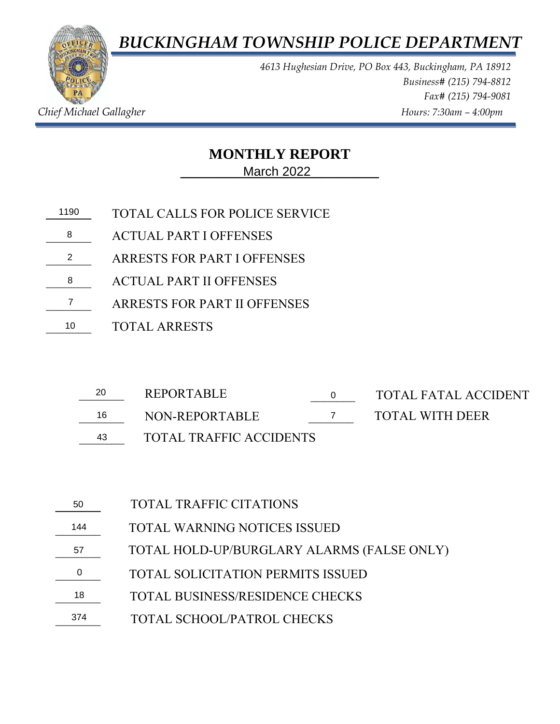*BUCKINGHAM TOWNSHIP POLICE DEPARTMENT*



*4613 Hughesian Drive, PO Box 443, Buckingham, PA 18912 Business# (215) 794-8812 Fax# (215) 794-9081 Chief Michael Gallagher Hours: 7:30am – 4:00pm* 

## **MONTHLY REPORT**

**\_\_\_\_\_\_\_\_\_\_\_\_\_\_\_\_\_\_\_\_\_\_\_\_\_\_\_** March 2022

- **\_\_\_\_\_\_\_** TOTAL CALLS FOR POLICE SERVICE 11908
- 8 ACTUAL PART I OFFENSES
- ARRESTS FOR PART I OFFENSES 2
- \_\_\_\_\_\_\_ ACTUAL PART II OFFENSES 8
- \_\_\_\_\_\_\_ ARRESTS FOR PART II OFFENSES 7
- \_\_\_\_\_\_\_ TOTAL ARRESTS 10

| 20 | <b>REPORTABLE</b>              |  | TOTAL FATAL ACCIDENT |
|----|--------------------------------|--|----------------------|
| 16 | NON-REPORTABLE                 |  | TOTAL WITH DEER      |
| 43 | <b>TOTAL TRAFFIC ACCIDENTS</b> |  |                      |

- 16 NON-REPORTABLE
- 

| 50  | <b>TOTAL TRAFFIC CITATIONS</b>             |
|-----|--------------------------------------------|
| 144 | <b>TOTAL WARNING NOTICES ISSUED</b>        |
| 57  | TOTAL HOLD-UP/BURGLARY ALARMS (FALSE ONLY) |
| 0   | <b>TOTAL SOLICITATION PERMITS ISSUED</b>   |
| 18  | <b>TOTAL BUSINESS/RESIDENCE CHECKS</b>     |
| 374 | <b>TOTAL SCHOOL/PATROL CHECKS</b>          |